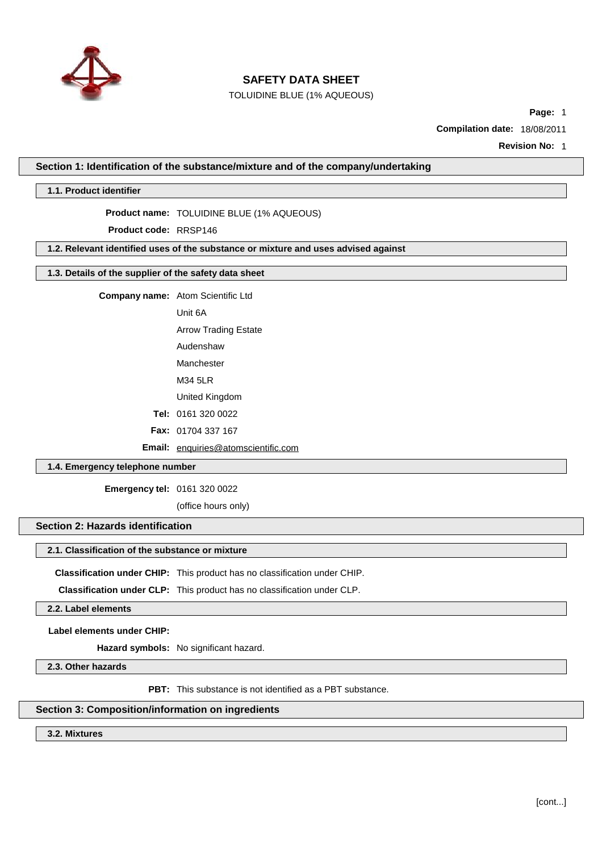

TOLUIDINE BLUE (1% AQUEOUS)

**Page:** 1

**Compilation date:** 18/08/2011

**Revision No:** 1

#### **Section 1: Identification of the substance/mixture and of the company/undertaking**

#### **1.1. Product identifier**

#### **Product name:** TOLUIDINE BLUE (1% AQUEOUS)

**Product code:** RRSP146

### **1.2. Relevant identified uses of the substance or mixture and uses advised against**

## **1.3. Details of the supplier of the safety data sheet**

**Company name:** Atom Scientific Ltd

Unit 6A

Arrow Trading Estate

Audenshaw

Manchester

M34 5LR

United Kingdom

**Tel:** 0161 320 0022

**Fax:** 01704 337 167

**Email:** [enquiries@atomscientific.com](mailto:enquiries@atomscientific.com)

### **1.4. Emergency telephone number**

**Emergency tel:** 0161 320 0022

(office hours only)

# **Section 2: Hazards identification**

## **2.1. Classification of the substance or mixture**

**Classification under CHIP:** This product has no classification under CHIP.

**Classification under CLP:** This product has no classification under CLP.

**2.2. Label elements**

**Label elements under CHIP:**

**Hazard symbols:** No significant hazard.

**2.3. Other hazards**

**PBT:** This substance is not identified as a PBT substance.

### **Section 3: Composition/information on ingredients**

**3.2. Mixtures**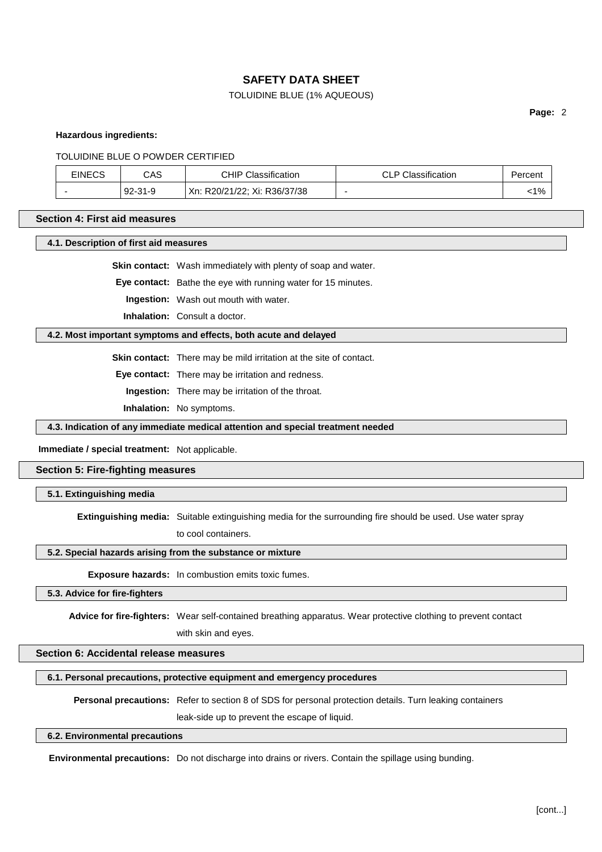### TOLUIDINE BLUE (1% AQUEOUS)

**Page:** 2

**Hazardous ingredients:**

TOLUIDINE BLUE O POWDER CERTIFIED

| <b>EINECS</b> | CAS             | <b>CHIP Classification</b>   | DCD<br>Classification<br>ᆚ | Percent |
|---------------|-----------------|------------------------------|----------------------------|---------|
|               | $92 -$<br>-31-9 | Xn: R20/21/22; Xi: R36/37/38 |                            | 1%      |

### **Section 4: First aid measures**

**4.1. Description of first aid measures**

**Skin contact:** Wash immediately with plenty of soap and water.

**Eye contact:** Bathe the eye with running water for 15 minutes.

**Ingestion:** Wash out mouth with water.

**Inhalation:** Consult a doctor.

#### **4.2. Most important symptoms and effects, both acute and delayed**

**Skin contact:** There may be mild irritation at the site of contact.

**Eye contact:** There may be irritation and redness.

**Ingestion:** There may be irritation of the throat.

**Inhalation:** No symptoms.

**4.3. Indication of any immediate medical attention and special treatment needed**

### **Immediate / special treatment:** Not applicable.

### **Section 5: Fire-fighting measures**

**5.1. Extinguishing media**

**Extinguishing media:** Suitable extinguishing media for the surrounding fire should be used. Use water spray

to cool containers.

## **5.2. Special hazards arising from the substance or mixture**

**Exposure hazards:** In combustion emits toxic fumes.

**5.3. Advice for fire-fighters**

**Advice for fire-fighters:** Wear self-contained breathing apparatus. Wear protective clothing to prevent contact with skin and eyes.

## **Section 6: Accidental release measures**

#### **6.1. Personal precautions, protective equipment and emergency procedures**

**Personal precautions:** Refer to section 8 of SDS for personal protection details. Turn leaking containers

leak-side up to prevent the escape of liquid.

#### **6.2. Environmental precautions**

**Environmental precautions:** Do not discharge into drains or rivers. Contain the spillage using bunding.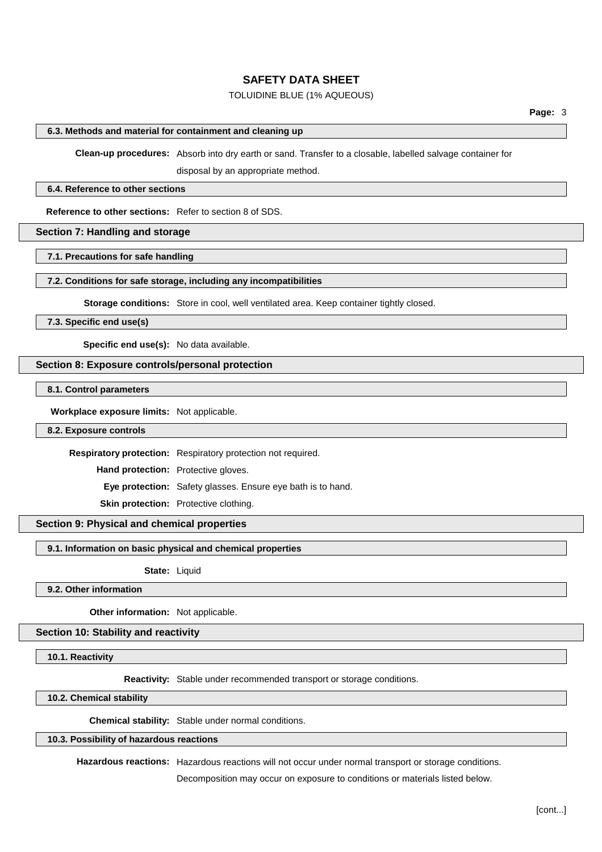### TOLUIDINE BLUE (1% AQUEOUS)

### **6.3. Methods and material for containment and cleaning up**

**Clean-up procedures:** Absorb into dry earth or sand. Transfer to a closable, labelled salvage container for

disposal by an appropriate method.

#### **6.4. Reference to other sections**

**Reference to other sections:** Refer to section 8 of SDS.

### **Section 7: Handling and storage**

**7.1. Precautions for safe handling**

#### **7.2. Conditions for safe storage, including any incompatibilities**

**Storage conditions:** Store in cool, well ventilated area. Keep container tightly closed.

**7.3. Specific end use(s)**

**Specific end use(s):** No data available.

#### **Section 8: Exposure controls/personal protection**

**8.1. Control parameters**

**Workplace exposure limits:** Not applicable.

#### **8.2. Exposure controls**

**Respiratory protection:** Respiratory protection not required.

**Hand protection:** Protective gloves.

**Eye protection:** Safety glasses. Ensure eye bath is to hand.

**Skin protection:** Protective clothing.

#### **Section 9: Physical and chemical properties**

**9.1. Information on basic physical and chemical properties**

**State:** Liquid

**9.2. Other information**

**Other information:** Not applicable.

#### **Section 10: Stability and reactivity**

**10.1. Reactivity**

**Reactivity:** Stable under recommended transport or storage conditions.

**10.2. Chemical stability**

**Chemical stability:** Stable under normal conditions.

#### **10.3. Possibility of hazardous reactions**

**Hazardous reactions:** Hazardous reactions will not occur under normal transport or storage conditions.

Decomposition may occur on exposure to conditions or materials listed below.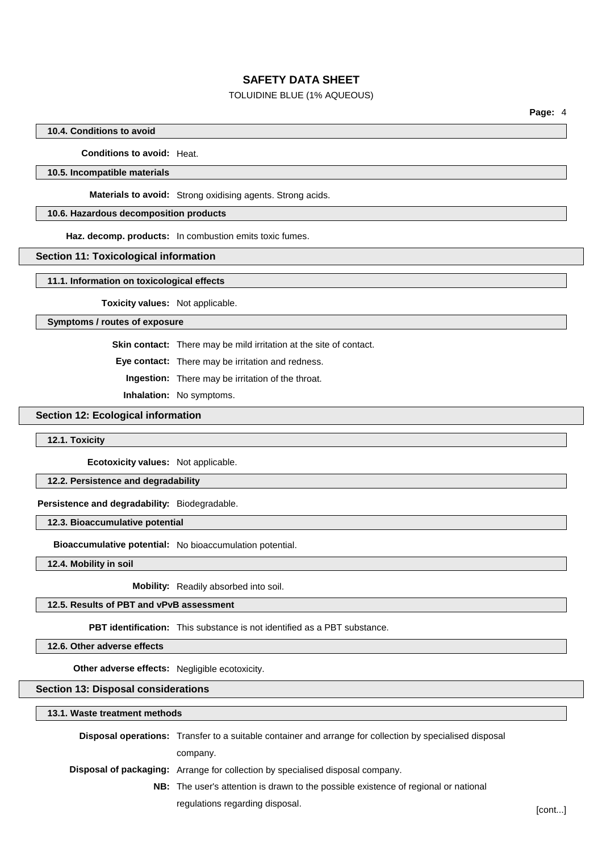### TOLUIDINE BLUE (1% AQUEOUS)

### **10.4. Conditions to avoid**

**Conditions to avoid:** Heat.

### **10.5. Incompatible materials**

**Materials to avoid:** Strong oxidising agents. Strong acids.

### **10.6. Hazardous decomposition products**

**Haz. decomp. products:** In combustion emits toxic fumes.

#### **Section 11: Toxicological information**

**11.1. Information on toxicological effects**

**Toxicity values:** Not applicable.

### **Symptoms / routes of exposure**

**Skin contact:** There may be mild irritation at the site of contact.

**Eye contact:** There may be irritation and redness.

**Ingestion:** There may be irritation of the throat.

**Inhalation:** No symptoms.

## **Section 12: Ecological information**

#### **12.1. Toxicity**

**Ecotoxicity values:** Not applicable.

## **12.2. Persistence and degradability**

### **Persistence and degradability:** Biodegradable.

#### **12.3. Bioaccumulative potential**

**Bioaccumulative potential:** No bioaccumulation potential.

**12.4. Mobility in soil**

**Mobility:** Readily absorbed into soil.

### **12.5. Results of PBT and vPvB assessment**

**PBT identification:** This substance is not identified as a PBT substance.

**12.6. Other adverse effects**

**Other adverse effects:** Negligible ecotoxicity.

**Section 13: Disposal considerations**

| 13.1. Waste treatment methods |                                                                                                                 |  |  |
|-------------------------------|-----------------------------------------------------------------------------------------------------------------|--|--|
|                               | <b>Disposal operations:</b> Transfer to a suitable container and arrange for collection by specialised disposal |  |  |
|                               | company.                                                                                                        |  |  |
|                               | <b>Disposal of packaging:</b> Arrange for collection by specialised disposal company.                           |  |  |
|                               | <b>NB:</b> The user's attention is drawn to the possible existence of regional or national                      |  |  |

regulations regarding disposal. The context of the context of the context of the context of the context of the context of the context of the context of the context of the context of the context of the context of the contex